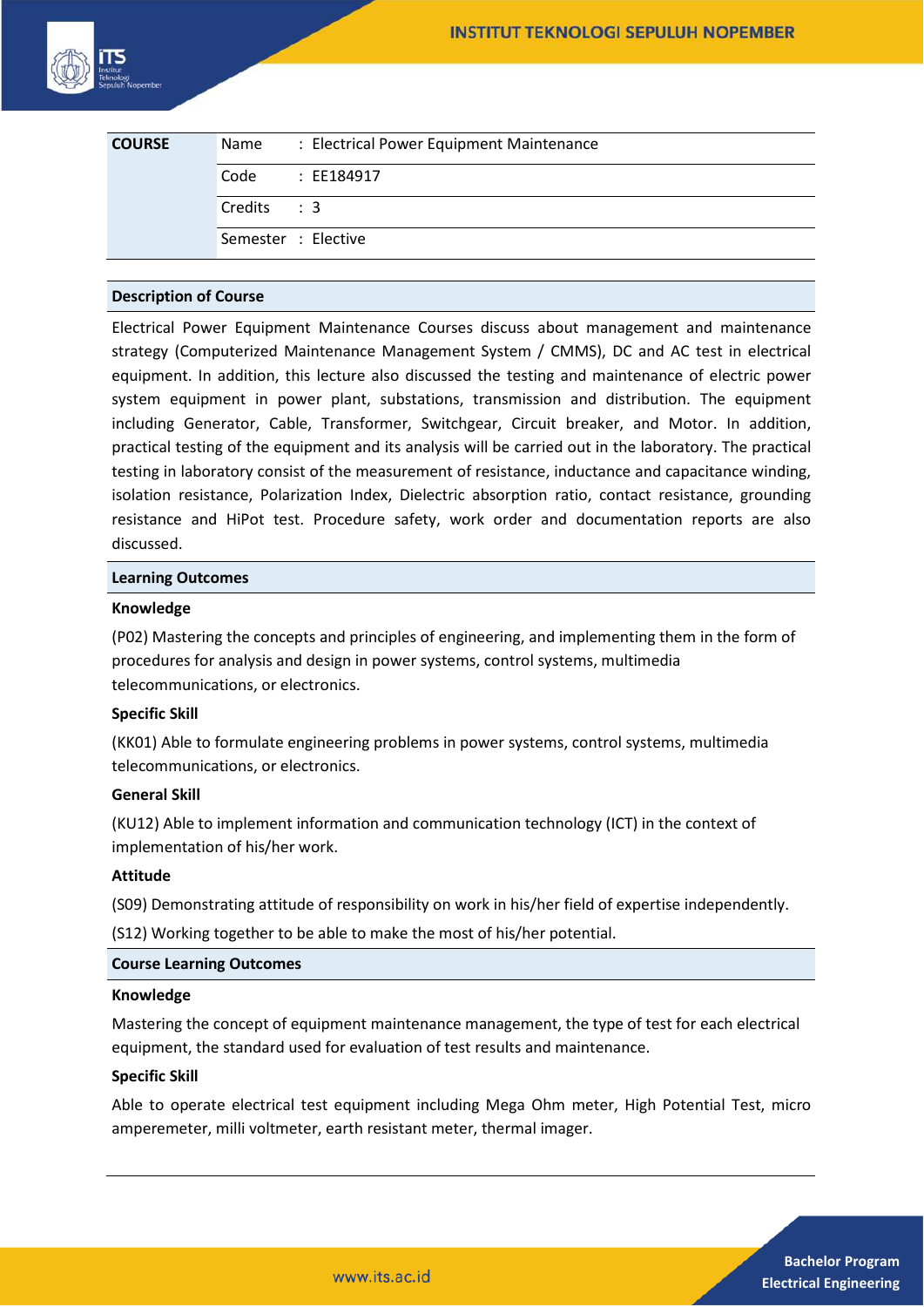| <b>COURSE</b> | Name       | : Electrical Power Equipment Maintenance |
|---------------|------------|------------------------------------------|
|               | Code       | : EE184917                               |
|               | Credits: 3 |                                          |
|               |            | Semester : Elective                      |

# **Description of Course**

Electrical Power Equipment Maintenance Courses discuss about management and maintenance strategy (Computerized Maintenance Management System / CMMS), DC and AC test in electrical equipment. In addition, this lecture also discussed the testing and maintenance of electric power system equipment in power plant, substations, transmission and distribution. The equipment including Generator, Cable, Transformer, Switchgear, Circuit breaker, and Motor. In addition, practical testing of the equipment and its analysis will be carried out in the laboratory. The practical testing in laboratory consist of the measurement of resistance, inductance and capacitance winding, isolation resistance, Polarization Index, Dielectric absorption ratio, contact resistance, grounding resistance and HiPot test. Procedure safety, work order and documentation reports are also discussed.

## **Learning Outcomes**

## **Knowledge**

(P02) Mastering the concepts and principles of engineering, and implementing them in the form of procedures for analysis and design in power systems, control systems, multimedia telecommunications, or electronics.

# **Specific Skill**

(KK01) Able to formulate engineering problems in power systems, control systems, multimedia telecommunications, or electronics.

#### **General Skill**

(KU12) Able to implement information and communication technology (ICT) in the context of implementation of his/her work.

### **Attitude**

(S09) Demonstrating attitude of responsibility on work in his/her field of expertise independently.

(S12) Working together to be able to make the most of his/her potential.

## **Course Learning Outcomes**

#### **Knowledge**

Mastering the concept of equipment maintenance management, the type of test for each electrical equipment, the standard used for evaluation of test results and maintenance.

#### **Specific Skill**

Able to operate electrical test equipment including Mega Ohm meter, High Potential Test, micro amperemeter, milli voltmeter, earth resistant meter, thermal imager.